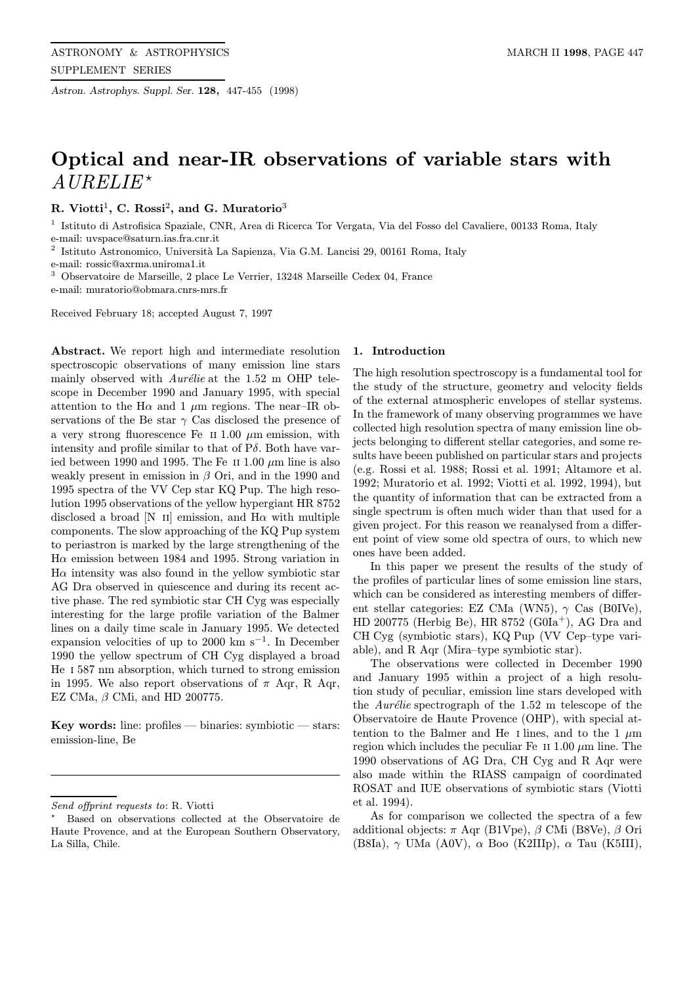Astron. Astrophys. Suppl. Ser. 128, 447-455 (1998)

# Optical and near-IR observations of variable stars with  $AURELIE<sup>*</sup>$

R. Viotti<sup>1</sup>, C. Rossi<sup>2</sup>, and G. Muratorio<sup>3</sup>

<sup>1</sup> Istituto di Astrofisica Spaziale, CNR, Area di Ricerca Tor Vergata, Via del Fosso del Cavaliere, 00133 Roma, Italy e-mail: uvspace@saturn.ias.fra.cnr.it

Istituto Astronomico, Università La Sapienza, Via G.M. Lancisi 29, 00161 Roma, Italy

e-mail: rossic@axrma.uniroma1.it

<sup>3</sup> Observatoire de Marseille, 2 place Le Verrier, 13248 Marseille Cedex 04, France e-mail: muratorio@obmara.cnrs-mrs.fr

Received February 18; accepted August 7, 1997

Abstract. We report high and intermediate resolution spectroscopic observations of many emission line stars mainly observed with  $Aurélie$  at the 1.52 m OHP telescope in December 1990 and January 1995, with special attention to the H $\alpha$  and 1  $\mu$ m regions. The near-IR observations of the Be star  $\gamma$  Cas disclosed the presence of a very strong fluorescence Fe II 1.00  $\mu$ m emission, with intensity and profile similar to that of  $P\delta$ . Both have varied between 1990 and 1995. The Fe II 1.00  $\mu$ m line is also weakly present in emission in  $\beta$  Ori, and in the 1990 and 1995 spectra of the VV Cep star KQ Pup. The high resolution 1995 observations of the yellow hypergiant HR 8752 disclosed a broad [N II] emission, and  $H\alpha$  with multiple components. The slow approaching of the KQ Pup system to periastron is marked by the large strengthening of the H $\alpha$  emission between 1984 and 1995. Strong variation in  $H\alpha$  intensity was also found in the yellow symbiotic star AG Dra observed in quiescence and during its recent active phase. The red symbiotic star CH Cyg was especially interesting for the large profile variation of the Balmer lines on a daily time scale in January 1995. We detected expansion velocities of up to 2000 km s<sup> $-1$ </sup>. In December 1990 the yellow spectrum of CH Cyg displayed a broad He i 587 nm absorption, which turned to strong emission in 1995. We also report observations of  $\pi$  Aqr, R Aqr, EZ CMa,  $\beta$  CMi, and HD 200775.

Key words: line:  $profiles - binaries:$  symbiotic  $-$  stars: emission-line, Be

#### 1. Introduction

The high resolution spectroscopy is a fundamental tool for the study of the structure, geometry and velocity fields of the external atmospheric envelopes of stellar systems. In the framework of many observing programmes we have collected high resolution spectra of many emission line objects belonging to different stellar categories, and some results have beeen published on particular stars and projects (e.g. Rossi et al. 1988; Rossi et al. 1991; Altamore et al. 1992; Muratorio et al. 1992; Viotti et al. 1992, 1994), but the quantity of information that can be extracted from a single spectrum is often much wider than that used for a given project. For this reason we reanalysed from a different point of view some old spectra of ours, to which new ones have been added.

In this paper we present the results of the study of the profiles of particular lines of some emission line stars, which can be considered as interesting members of different stellar categories: EZ CMa (WN5),  $\gamma$  Cas (B0IVe), HD 200775 (Herbig Be), HR 8752 (G0Ia<sup>+</sup>), AG Dra and CH Cyg (symbiotic stars), KQ Pup (VV Cep–type variable), and R Aqr (Mira–type symbiotic star).

The observations were collected in December 1990 and January 1995 within a project of a high resolution study of peculiar, emission line stars developed with the *Aurélie* spectrograph of the  $1.52$  m telescope of the Observatoire de Haute Provence (OHP), with special attention to the Balmer and He I lines, and to the 1  $\mu$ m region which includes the peculiar Fe  $\scriptstyle\rm II$  1.00  $\mu$ m line. The 1990 observations of AG Dra, CH Cyg and R Aqr were also made within the RIASS campaign of coordinated ROSAT and IUE observations of symbiotic stars (Viotti et al. 1994).

As for comparison we collected the spectra of a few additional objects:  $\pi$  Aqr (B1Vpe),  $\beta$  CMi (B8Ve),  $\beta$  Ori (B8Ia),  $\gamma$  UMa (A0V),  $\alpha$  Boo (K2IIIp),  $\alpha$  Tau (K5III),

Send offprint requests to: R. Viotti

<sup>?</sup> Based on observations collected at the Observatoire de Haute Provence, and at the European Southern Observatory, La Silla, Chile.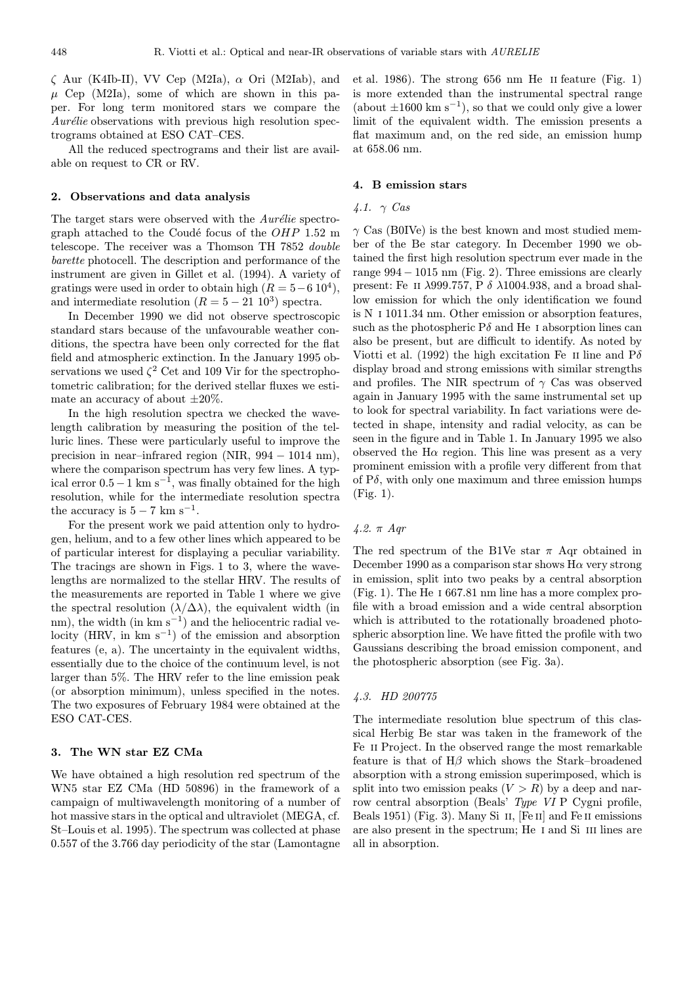$\zeta$  Aur (K4Ib-II), VV Cep (M2Ia),  $\alpha$  Ori (M2Iab), and  $\mu$  Cep (M2Ia), some of which are shown in this paper. For long term monitored stars we compare the  $Aurélie$  observations with previous high resolution spectrograms obtained at ESO CAT–CES.

All the reduced spectrograms and their list are available on request to CR or RV.

#### 2. Observations and data analysis

The target stars were observed with the  $Aurélie$  spectrograph attached to the Coudé focus of the  $OHP$  1.52 m telescope. The receiver was a Thomson TH 7852 double barette photocell. The description and performance of the instrument are given in Gillet et al. (1994). A variety of gratings were used in order to obtain high  $(R = 5-6 10^4)$ , and intermediate resolution  $(R = 5 - 21 10^3)$  spectra.

In December 1990 we did not observe spectroscopic standard stars because of the unfavourable weather conditions, the spectra have been only corrected for the flat field and atmospheric extinction. In the January 1995 observations we used  $\zeta^2$  Cet and 109 Vir for the spectrophotometric calibration; for the derived stellar fluxes we estimate an accuracy of about  $\pm 20\%$ .

In the high resolution spectra we checked the wavelength calibration by measuring the position of the telluric lines. These were particularly useful to improve the precision in near–infrared region (NIR, 994 − 1014 nm), where the comparison spectrum has very few lines. A typical error  $0.5-1$  km s<sup>-1</sup>, was finally obtained for the high resolution, while for the intermediate resolution spectra the accuracy is  $5 - 7$  km s<sup>-1</sup>.

For the present work we paid attention only to hydrogen, helium, and to a few other lines which appeared to be of particular interest for displaying a peculiar variability. The tracings are shown in Figs. 1 to 3, where the wavelengths are normalized to the stellar HRV. The results of the measurements are reported in Table 1 where we give the spectral resolution  $(\lambda/\Delta\lambda)$ , the equivalent width (in nm), the width (in km s<sup>-1</sup>) and the heliocentric radial velocity (HRV, in  $km s^{-1}$ ) of the emission and absorption features (e, a). The uncertainty in the equivalent widths, essentially due to the choice of the continuum level, is not larger than 5%. The HRV refer to the line emission peak (or absorption minimum), unless specified in the notes. The two exposures of February 1984 were obtained at the ESO CAT-CES.

#### 3. The WN star EZ CMa

We have obtained a high resolution red spectrum of the WN5 star EZ CMa (HD 50896) in the framework of a campaign of multiwavelength monitoring of a number of hot massive stars in the optical and ultraviolet (MEGA, cf. St–Louis et al. 1995). The spectrum was collected at phase 0.557 of the 3.766 day periodicity of the star (Lamontagne

et al. 1986). The strong 656 nm He ii feature (Fig. 1) is more extended than the instrumental spectral range (about  $\pm 1600 \text{ km s}^{-1}$ ), so that we could only give a lower limit of the equivalent width. The emission presents a flat maximum and, on the red side, an emission hump at 658.06 nm.

## 4. B emission stars

#### 4.1.  $\gamma$  Cas

 $\gamma$  Cas (B0IVe) is the best known and most studied member of the Be star category. In December 1990 we obtained the first high resolution spectrum ever made in the range 994 − 1015 nm (Fig. 2). Three emissions are clearly present: Fe II  $\lambda$ 999.757, P  $\delta$   $\lambda$ 1004.938, and a broad shallow emission for which the only identification we found is N i 1011.34 nm. Other emission or absorption features, such as the photospheric  $P\delta$  and He I absorption lines can also be present, but are difficult to identify. As noted by Viotti et al. (1992) the high excitation Fe II line and  $P\delta$ display broad and strong emissions with similar strengths and profiles. The NIR spectrum of  $\gamma$  Cas was observed again in January 1995 with the same instrumental set up to look for spectral variability. In fact variations were detected in shape, intensity and radial velocity, as can be seen in the figure and in Table 1. In January 1995 we also observed the H $\alpha$  region. This line was present as a very prominent emission with a profile very different from that of  $P\delta$ , with only one maximum and three emission humps (Fig. 1).

## 4.2. π Aqr

The red spectrum of the B1Ve star  $\pi$  Aqr obtained in December 1990 as a comparison star shows  $H\alpha$  very strong in emission, split into two peaks by a central absorption (Fig. 1). The He i 667.81 nm line has a more complex profile with a broad emission and a wide central absorption which is attributed to the rotationally broadened photospheric absorption line. We have fitted the profile with two Gaussians describing the broad emission component, and the photospheric absorption (see Fig. 3a).

#### 4.3. HD 200775

The intermediate resolution blue spectrum of this classical Herbig Be star was taken in the framework of the Fe ii Project. In the observed range the most remarkable feature is that of  $H\beta$  which shows the Stark–broadened absorption with a strong emission superimposed, which is split into two emission peaks  $(V > R)$  by a deep and narrow central absorption (Beals' Type VI P Cygni profile, Beals 1951) (Fig. 3). Many Si II, [Fe II] and Fe II emissions are also present in the spectrum; He I and Si III lines are all in absorption.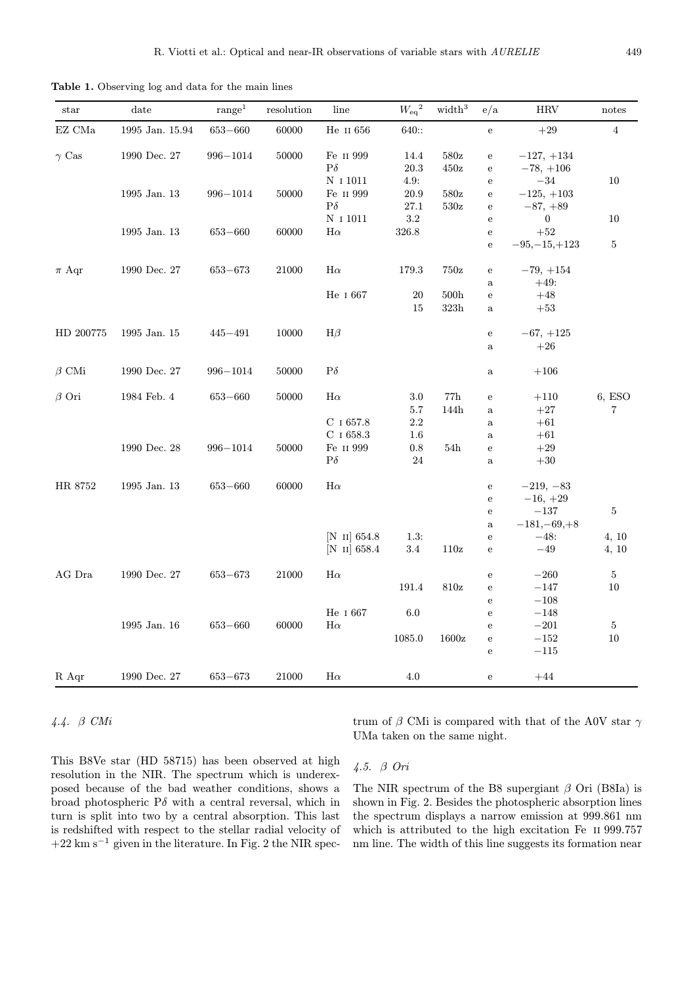Table 1. Observing log and data for the main lines

| star                         | date            | range <sup>1</sup> | resolution | line               | ${W_{\rm eq}}^2$ | $\rm width^3$    | e/a          | <b>HRV</b>       | notes          |
|------------------------------|-----------------|--------------------|------------|--------------------|------------------|------------------|--------------|------------------|----------------|
| $\mathop{\hbox{\rm EZ}}$ CMa | 1995 Jan. 15.94 | $653 - 660$        | 60000      | He II $656\,$      | 640::            |                  | ${\bf e}$    | $+29$            | $\sqrt{4}$     |
| $\gamma$ Cas                 | 1990 Dec. 27    | $996 - 1014$       | 50000      | Fe II 999          | 14.4             | 580z             | ${\bf e}$    | $-127, +134$     |                |
|                              |                 |                    |            | $P\delta$          | 20.3             | 450z             | ${\bf e}$    | $-78, +106$      |                |
|                              |                 |                    |            | N 1 1011           | 4.9:             |                  | $\mathbf e$  | $-34\,$          | 10             |
|                              | 1995 Jan. 13    | $996 - 1014$       | 50000      | Fe II 999          | 20.9             | 580z             | ${\bf e}$    | $-125, +103$     |                |
|                              |                 |                    |            | $P\delta$          | 27.1             | 530z             | ${\bf e}$    | $-87, +89$       |                |
|                              |                 |                    |            | N 1 1011           | 3.2              |                  | $\mathbf e$  | $\boldsymbol{0}$ | 10             |
|                              | 1995 Jan. 13    | $653 - 660$        | 60000      | $H\alpha$          | 326.8            |                  | ${\bf e}$    | $+52$            |                |
|                              |                 |                    |            |                    |                  |                  | ${\bf e}$    | $-95, -15, +123$ | 5              |
| $\pi$ Aqr                    | 1990 Dec. 27    | $653 - 673$        | 21000      | $H\alpha$          | 179.3            | 750z             | ${\bf e}$    | $-79, +154$      |                |
|                              |                 |                    |            |                    |                  |                  | $\mathbf{a}$ | $+49:$           |                |
|                              |                 |                    |            | He I 667           | 20               | 500 <sub>h</sub> | ${\bf e}$    | $+48$            |                |
|                              |                 |                    |            |                    | 15               | $323\mathrm{h}$  | $\mathbf{a}$ | $+53$            |                |
| HD 200775                    | 1995 Jan. 15    | $445 - 491$        | 10000      | $H\beta$           |                  |                  | ${\bf e}$    | $-67, +125$      |                |
|                              |                 |                    |            |                    |                  |                  | $\mathbf{a}$ | $+26$            |                |
| $\beta$ CMi                  | 1990 Dec. 27    | $996 - 1014$       | 50000      | $P\delta$          |                  |                  | $\rm{a}$     | $+106$           |                |
| $\beta$ Ori                  | 1984 Feb. 4     | $653 - 660$        | 50000      | $H\alpha$          | 3.0              | 77h              | ${\bf e}$    | $+110$           | 6, ESO         |
|                              |                 |                    |            |                    | 5.7              | 144h             | $\mathbf{a}$ | $+27$            | 7              |
|                              |                 |                    |            | C $1657.8$         | 2.2              |                  | $\rm{a}$     | $+61\,$          |                |
|                              |                 |                    |            | $\rm C$ ı $658.3$  | 1.6              |                  | $\rm{a}$     | $+61$            |                |
|                              | 1990 Dec. 28    | $996 - 1014$       | 50000      | Fe II 999          | 0.8              | 54h              | ${\bf e}$    | $+29$            |                |
|                              |                 |                    |            | $\mathrm{P}\delta$ | 24               |                  | $\rm{a}$     | $+30\,$          |                |
| HR 8752                      | 1995 Jan. 13    | $653 - 660$        | 60000      | $H\alpha$          |                  |                  | ${\bf e}$    | $-219, -83$      |                |
|                              |                 |                    |            |                    |                  |                  | ${\bf e}$    | $-16, +29$       |                |
|                              |                 |                    |            |                    |                  |                  | ${\bf e}$    | $-137$           | 5              |
|                              |                 |                    |            |                    |                  |                  | $\rm{a}$     | $-181, -69, +8$  |                |
|                              |                 |                    |            | $[N$ II] 654.8     | 1.3:             |                  | ${\bf e}$    | $-48:$           | 4, 10          |
|                              |                 |                    |            | $[N \; II] 658.4$  | 3.4              | 110z             | ${\bf e}$    | $-49$            | 4, 10          |
| AG Dra                       | 1990 Dec. 27    | $653 - 673$        | 21000      | $H\alpha$          |                  |                  | ${\bf e}$    | $-260$           | 5              |
|                              |                 |                    |            |                    | 191.4            | 810z             | $\mathbf{e}$ | $-147$           | 10             |
|                              |                 |                    |            |                    |                  |                  | $\mathbf e$  | $-108$           |                |
|                              |                 |                    |            | He I 667           | 6.0              |                  | ${\bf e}$    | $-148$           |                |
|                              | 1995 Jan. 16    | $653 - 660$        | 60000      | $H\alpha$          |                  |                  | ${\bf e}$    | $-201$           | $\overline{5}$ |
|                              |                 |                    |            |                    | 1085.0           | 1600z            | ${\bf e}$    | $-152$           | 10             |
|                              |                 |                    |            |                    |                  |                  | ${\bf e}$    | $-115$           |                |
| R Aqr                        | 1990 Dec. 27    | $653 - 673$        | 21000      | $H\alpha$          | 4.0              |                  | ${\bf e}$    | $+44$            |                |

## 4.4. β CMi

trum of  $\beta$  CMi is compared with that of the A0V star  $\gamma$ UMa taken on the same night.

This B8Ve star (HD 58715) has been observed at high resolution in the NIR. The spectrum which is underexposed because of the bad weather conditions, shows a broad photospheric  $P\delta$  with a central reversal, which in turn is split into two by a central absorption. This last is redshifted with respect to the stellar radial velocity of  $+22~{\rm km~s^{-1}}$  given in the literature. In Fig. 2 the NIR spec-

## 4.5. β Ori

The NIR spectrum of the B8 supergiant  $\beta$  Ori (B8Ia) is shown in Fig. 2. Besides the photospheric absorption lines the spectrum displays a narrow emission at 999.861 nm which is attributed to the high excitation Fe ii 999.757 nm line. The width of this line suggests its formation near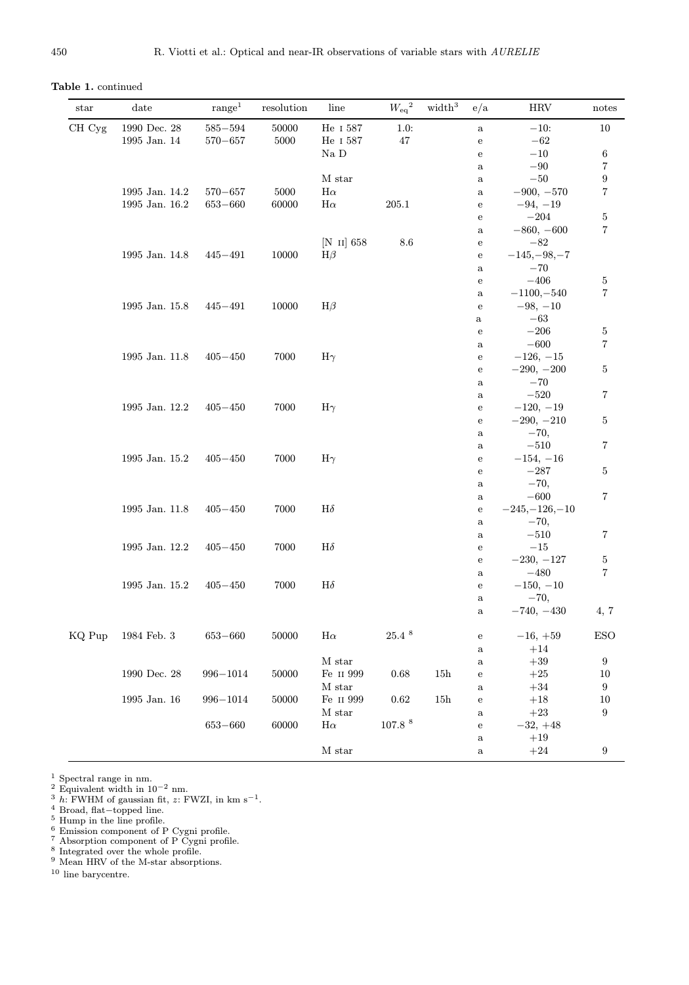Table 1. continued

| $_{\rm star}$ | date               | range <sup>1</sup> | resolution | line                 | ${W_{\rm eq}}^2$   | width <sup>3</sup> | e/a            | <b>HRV</b>                  | notes            |
|---------------|--------------------|--------------------|------------|----------------------|--------------------|--------------------|----------------|-----------------------------|------------------|
| CH Cyg        | $1990$ Dec. $28\,$ | $585 - 594$        | 50000      | He I 587             | 1.0:               |                    | $\rm{a}$       | $-10:$                      | $10\,$           |
|               | 1995 Jan. 14       | $570 - 657$        | 5000       | He I 587             | 47                 |                    | ${\bf e}$      | $-62$                       |                  |
|               |                    |                    |            | $Na$ $D$             |                    |                    | ${\bf e}$      | $-10\,$                     | 6                |
|               |                    |                    |            |                      |                    |                    | $\rm{a}$       | $-90\,$                     | 7                |
|               |                    |                    |            | M star               |                    |                    | $\rm{a}$       | $-50\,$                     | 9                |
|               | 1995 Jan. 14.2     | $570 - 657$        | 5000       | $H\alpha$            |                    |                    | $\rm{a}$       | $-900, -570$                | 7                |
|               | 1995 Jan. 16.2     | $653 - 660$        | 60000      | $H\alpha$            | $205.1\,$          |                    | ${\bf e}$      | $-94, -19$                  |                  |
|               |                    |                    |            |                      |                    |                    | ${\bf e}$      | $-204$                      | $\overline{5}$   |
|               |                    |                    |            |                      |                    |                    | $\rm{a}$       | $-860, -600$                | 7                |
|               |                    |                    |            | [N $\text{II}$ ] 658 | $8.6\,$            |                    | ${\bf e}$      | $-82$                       |                  |
|               | 1995 Jan. 14.8     | $445 - 491$        | 10000      | $H\beta$             |                    |                    | ${\bf e}$      | $-145, -98, -7$             |                  |
|               |                    |                    |            |                      |                    |                    | $\rm{a}$       | $-70$                       |                  |
|               |                    |                    |            |                      |                    |                    | ${\bf e}$      | $-406$                      | $\bf 5$          |
|               | 1995 Jan. 15.8     | $445 - 491$        | 10000      | $H\beta$             |                    |                    | $\rm{a}$       | $-1100, -540$<br>$-98, -10$ | 7                |
|               |                    |                    |            |                      |                    |                    | ${\bf e}$      | $-63$                       |                  |
|               |                    |                    |            |                      |                    |                    | a<br>${\bf e}$ | $-206$                      | 5                |
|               |                    |                    |            |                      |                    |                    | $\rm{a}$       | $-600$                      | 7                |
|               | 1995 Jan. 11.8     | $405 - 450$        | 7000       | $H\gamma$            |                    |                    | ${\bf e}$      | $-126, -15$                 |                  |
|               |                    |                    |            |                      |                    |                    | ${\bf e}$      | $-290, -200$                | 5                |
|               |                    |                    |            |                      |                    |                    | $\rm{a}$       | $-70$                       |                  |
|               |                    |                    |            |                      |                    |                    | $\rm{a}$       | $-520$                      | 7                |
|               | 1995 Jan. 12.2     | $405 - 450$        | 7000       | $H\gamma$            |                    |                    | ${\bf e}$      | $-120, -19$                 |                  |
|               |                    |                    |            |                      |                    |                    | ${\bf e}$      | $-290, -210$                | 5                |
|               |                    |                    |            |                      |                    |                    | $\rm{a}$       | $-70,$                      |                  |
|               |                    |                    |            |                      |                    |                    | $\rm{a}$       | $-510$                      | 7                |
|               | 1995 Jan. 15.2     | $405 - 450$        | 7000       | $H\gamma$            |                    |                    | ${\bf e}$      | $-154, -16$                 |                  |
|               |                    |                    |            |                      |                    |                    | ${\bf e}$      | $-287$                      | 5                |
|               |                    |                    |            |                      |                    |                    | $\rm{a}$       | $-70,$                      |                  |
|               |                    |                    |            |                      |                    |                    | $\rm{a}$       | $-600$                      | 7                |
|               | 1995 Jan. 11.8     | $405 - 450$        | 7000       | $H\delta$            |                    |                    | ${\bf e}$      | $-245, -126, -10$           |                  |
|               |                    |                    |            |                      |                    |                    | $\rm{a}$       | $-70,$                      |                  |
|               |                    |                    |            |                      |                    |                    | $\rm{a}$       | $-510$                      | 7                |
|               | 1995 Jan. 12.2     | $405 - 450$        | 7000       | $H\delta$            |                    |                    | ${\bf e}$      | $-15$                       |                  |
|               |                    |                    |            |                      |                    |                    | ${\bf e}$      | $-230, -127$                | 5                |
|               |                    |                    |            |                      |                    |                    | $\rm{a}$       | $-480$                      | 7                |
|               | 1995 Jan. 15.2     | $405 - 450$        | 7000       | $H\delta$            |                    |                    | ${\bf e}$      | $-150, -10$                 |                  |
|               |                    |                    |            |                      |                    |                    | $\rm{a}$       | $-70,$                      |                  |
|               |                    |                    |            |                      |                    |                    | a              | $-740, -430$                | 4, 7             |
| KQ Pup        | $1984$ Feb. $3$    | $653 - 660$        | 50000      | $\mathrm{H}\alpha$   | 25.4~ <sup>8</sup> |                    | ${\bf e}$      | $-16, +59$                  | <b>ESO</b>       |
|               |                    |                    |            |                      |                    |                    | $\rm{a}$       | $+14\,$                     |                  |
|               |                    |                    |            | $\mathbf M$ star     |                    |                    | $\rm{a}$       | $+39\,$                     | $\boldsymbol{9}$ |
|               | 1990 Dec. 28       | $996 - 1014$       | 50000      | Fe II 999            | 0.68               | 15h                | ${\bf e}$      | $+25\,$                     | 10               |
|               |                    |                    |            | M star               |                    |                    | $\rm{a}$       | $+34\,$                     | $\boldsymbol{9}$ |
|               | 1995 Jan. 16       | $996 - 1014$       | 50000      | Fe II 999            | $0.62\,$           | 15h                | $\rm e$        | $+18$                       | 10               |
|               |                    |                    |            | $\mathbf M$ star     |                    |                    | $\rm{a}$       | $+23\,$                     | $\boldsymbol{9}$ |
|               |                    | $653 - 660$        | 60000      | $\rm H\alpha$        | $107.8\ ^{8}$      |                    | ${\bf e}$      | $-32, +48$                  |                  |
|               |                    |                    |            |                      |                    |                    | $\rm{a}$       | $+19\,$                     |                  |
|               |                    |                    |            | $\mathbf M$ star     |                    |                    | $\rm{a}$       | $+24\,$                     | 9                |

 $^1$  Spectral range in nm.<br>  $^2$  Equivalent width in  $10^{-2}$  nm.<br>  $^3$ <br> $h$ : FWHM of gaussian fit,  $z$ : FWZI, in  $\rm km~s^{-1}$ .<br>  $^4$  Broad, flat—topped line.<br>  $^5$  Hump in the line profile.<br>  $^6$  Emission component of P Cygn

<sup>10</sup> line barycentre.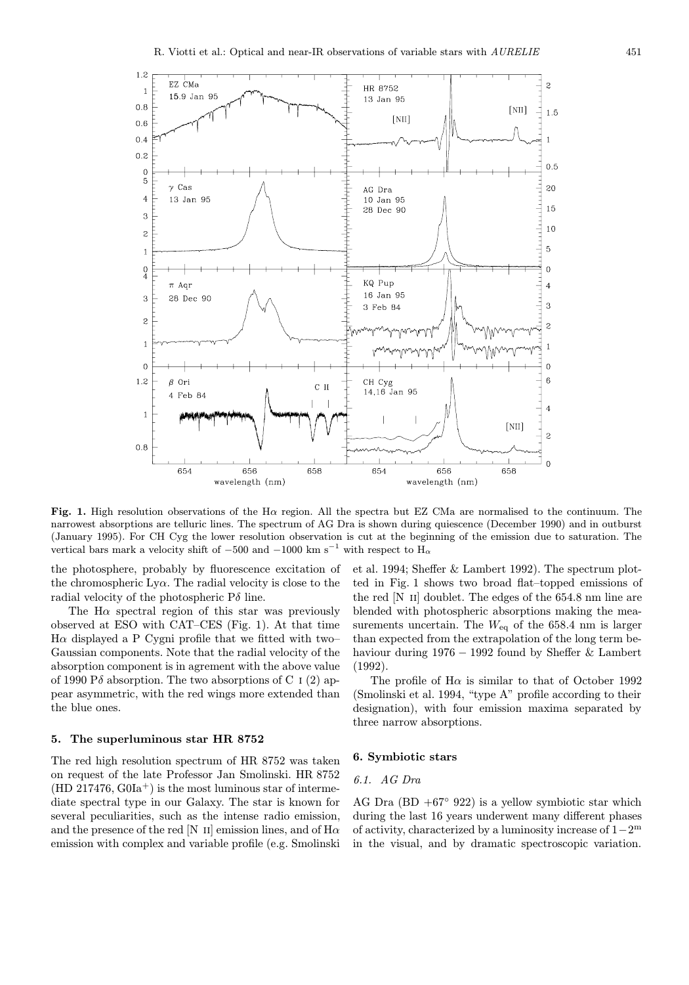

Fig. 1. High resolution observations of the H $\alpha$  region. All the spectra but EZ CMa are normalised to the continuum. The narrowest absorptions are telluric lines. The spectrum of AG Dra is shown during quiescence (December 1990) and in outburst (January 1995). For CH Cyg the lower resolution observation is cut at the beginning of the emission due to saturation. The vertical bars mark a velocity shift of  $-500$  and  $-1000$  km s<sup>-1</sup> with respect to H<sub>α</sub>

the photosphere, probably by fluorescence excitation of the chromospheric  $Ly\alpha$ . The radial velocity is close to the radial velocity of the photospheric  $P\delta$  line.

The H $\alpha$  spectral region of this star was previously observed at ESO with CAT–CES (Fig. 1). At that time H $\alpha$  displayed a P Cygni profile that we fitted with two– Gaussian components. Note that the radial velocity of the absorption component is in agrement with the above value of 1990 P $\delta$  absorption. The two absorptions of C i (2) appear asymmetric, with the red wings more extended than the blue ones.

#### 5. The superluminous star HR 8752

The red high resolution spectrum of HR 8752 was taken on request of the late Professor Jan Smolinski. HR 8752  $(HD 217476, G<sub>0</sub>Ia<sup>+</sup>)$  is the most luminous star of intermediate spectral type in our Galaxy. The star is known for several peculiarities, such as the intense radio emission, and the presence of the red [N II] emission lines, and of  $H\alpha$ emission with complex and variable profile (e.g. Smolinski

et al. 1994; Sheffer & Lambert 1992). The spectrum plotted in Fig. 1 shows two broad flat–topped emissions of the red [N ii] doublet. The edges of the 654.8 nm line are blended with photospheric absorptions making the measurements uncertain. The  $W_{eq}$  of the 658.4 nm is larger than expected from the extrapolation of the long term behaviour during 1976 − 1992 found by Sheffer & Lambert (1992).

The profile of  $H\alpha$  is similar to that of October 1992 (Smolinski et al. 1994, "type A" profile according to their designation), with four emission maxima separated by three narrow absorptions.

#### 6. Symbiotic stars

## 6.1. AG Dra

AG Dra (BD  $+67°$  922) is a yellow symbiotic star which during the last 16 years underwent many different phases of activity, characterized by a luminosity increase of 1−2<sup>m</sup> in the visual, and by dramatic spectroscopic variation.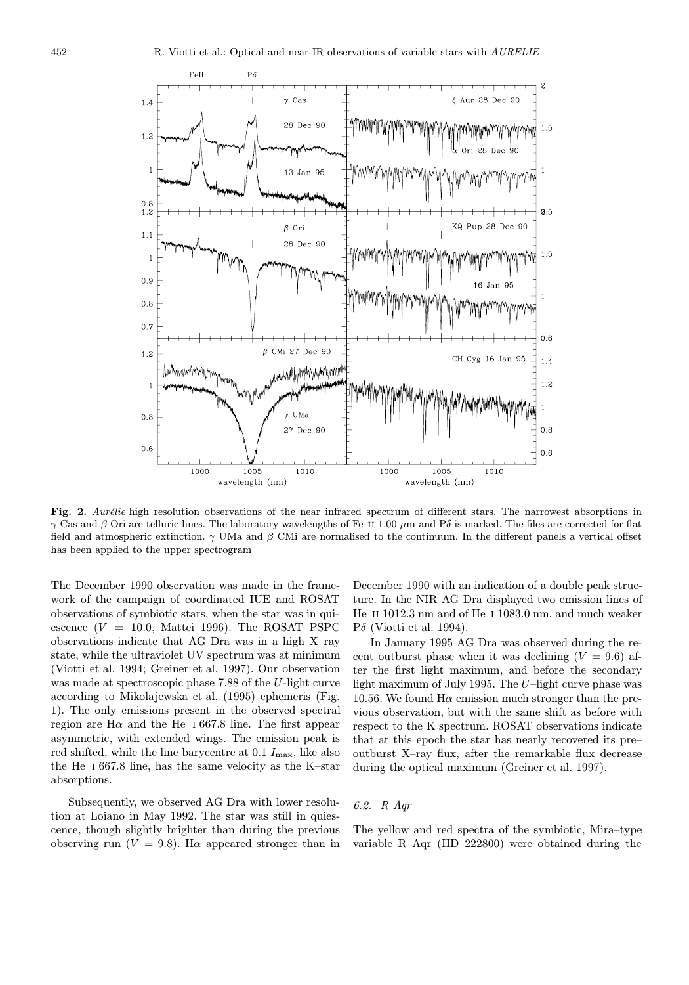

Fig. 2. Aurélie high resolution observations of the near infrared spectrum of different stars. The narrowest absorptions in  $\gamma$  Cas and β Ori are telluric lines. The laboratory wavelengths of Fe II 1.00  $\mu$ m and Pδ is marked. The files are corrected for flat field and atmospheric extinction.  $\gamma$  UMa and  $\beta$  CMi are normalised to the continuum. In the different panels a vertical offset has been applied to the upper spectrogram

The December 1990 observation was made in the framework of the campaign of coordinated IUE and ROSAT observations of symbiotic stars, when the star was in quiescence  $(V = 10.0, \text{ Mattei } 1996)$ . The ROSAT PSPC observations indicate that AG Dra was in a high X–ray state, while the ultraviolet UV spectrum was at minimum (Viotti et al. 1994; Greiner et al. 1997). Our observation was made at spectroscopic phase 7.88 of the U-light curve according to Mikolajewska et al. (1995) ephemeris (Fig. 1). The only emissions present in the observed spectral region are H $\alpha$  and the He i 667.8 line. The first appear asymmetric, with extended wings. The emission peak is red shifted, while the line barycentre at  $0.1 I_{\text{max}}$ , like also the He i 667.8 line, has the same velocity as the K–star absorptions.

Subsequently, we observed AG Dra with lower resolution at Loiano in May 1992. The star was still in quiescence, though slightly brighter than during the previous observing run  $(V = 9.8)$ . H $\alpha$  appeared stronger than in December 1990 with an indication of a double peak structure. In the NIR AG Dra displayed two emission lines of He ii 1012.3 nm and of He i 1083.0 nm, and much weaker  $P\delta$  (Viotti et al. 1994).

In January 1995 AG Dra was observed during the recent outburst phase when it was declining  $(V = 9.6)$  after the first light maximum, and before the secondary light maximum of July 1995. The  $U$ -light curve phase was 10.56. We found  $H\alpha$  emission much stronger than the previous observation, but with the same shift as before with respect to the K spectrum. ROSAT observations indicate that at this epoch the star has nearly recovered its pre– outburst X–ray flux, after the remarkable flux decrease during the optical maximum (Greiner et al. 1997).

## 6.2. R Aqr

The yellow and red spectra of the symbiotic, Mira–type variable R Aqr (HD 222800) were obtained during the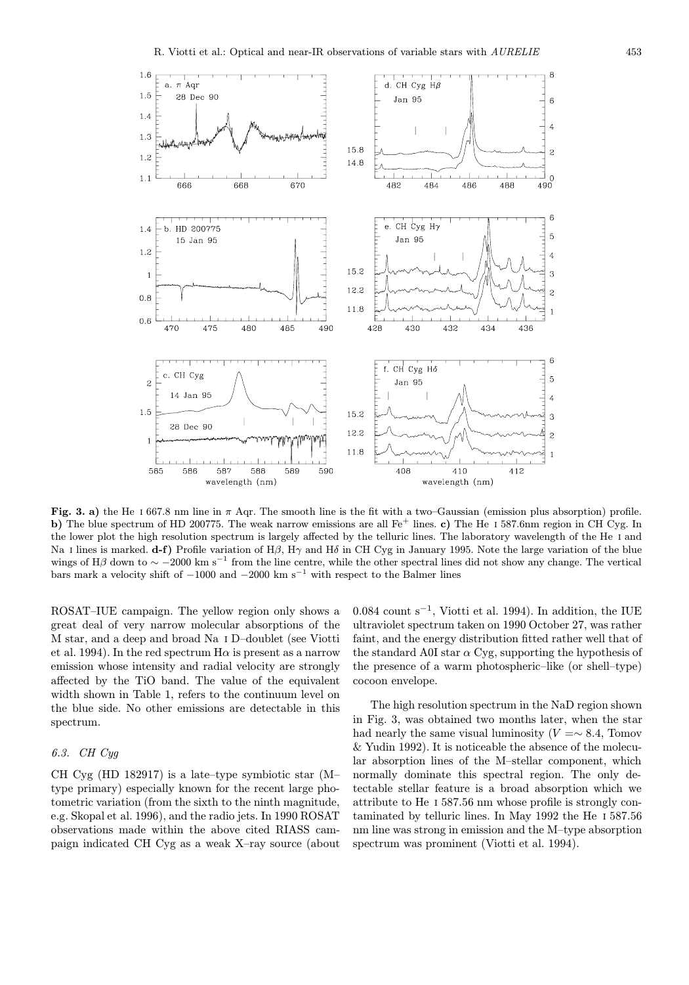

Fig. 3. a) the He I 667.8 nm line in  $\pi$  Aqr. The smooth line is the fit with a two–Gaussian (emission plus absorption) profile. b) The blue spectrum of HD 200775. The weak narrow emissions are all  $Fe<sup>+</sup>$  lines. c) The He I 587.6nm region in CH Cyg. In the lower plot the high resolution spectrum is largely affected by the telluric lines. The laboratory wavelength of the He i and Na I lines is marked. d-f) Profile variation of H $\beta$ , H $\gamma$  and H $\delta$  in CH Cyg in January 1995. Note the large variation of the blue wings of H $\beta$  down to  $\sim$  −2000 km s<sup>−1</sup> from the line centre, while the other spectral lines did not show any change. The vertical bars mark a velocity shift of  $-1000$  and  $-2000$  km s<sup>-1</sup> with respect to the Balmer lines

ROSAT–IUE campaign. The yellow region only shows a great deal of very narrow molecular absorptions of the M star, and a deep and broad Na i D–doublet (see Viotti et al. 1994). In the red spectrum  $H\alpha$  is present as a narrow emission whose intensity and radial velocity are strongly affected by the TiO band. The value of the equivalent width shown in Table 1, refers to the continuum level on the blue side. No other emissions are detectable in this spectrum.

#### 6.3. CH Cyg

CH Cyg (HD 182917) is a late–type symbiotic star (M– type primary) especially known for the recent large photometric variation (from the sixth to the ninth magnitude, e.g. Skopal et al. 1996), and the radio jets. In 1990 ROSAT observations made within the above cited RIASS campaign indicated CH Cyg as a weak X–ray source (about

0.084 count s<sup>−</sup><sup>1</sup>, Viotti et al. 1994). In addition, the IUE ultraviolet spectrum taken on 1990 October 27, was rather faint, and the energy distribution fitted rather well that of the standard A0I star  $\alpha$  Cyg, supporting the hypothesis of the presence of a warm photospheric–like (or shell–type) cocoon envelope.

The high resolution spectrum in the NaD region shown in Fig. 3, was obtained two months later, when the star had nearly the same visual luminosity ( $V = ∼ 8.4$ , Tomov & Yudin 1992). It is noticeable the absence of the molecular absorption lines of the M–stellar component, which normally dominate this spectral region. The only detectable stellar feature is a broad absorption which we attribute to He i 587.56 nm whose profile is strongly contaminated by telluric lines. In May 1992 the He i 587.56 nm line was strong in emission and the M–type absorption spectrum was prominent (Viotti et al. 1994).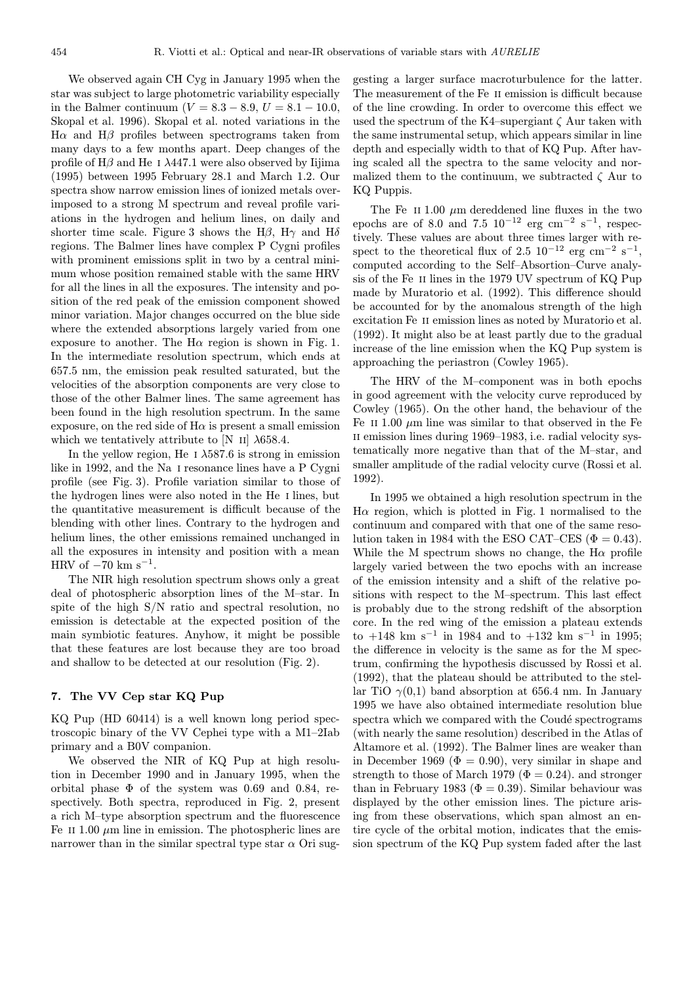We observed again CH Cyg in January 1995 when the star was subject to large photometric variability especially in the Balmer continuum ( $V = 8.3 - 8.9$ ,  $U = 8.1 - 10.0$ , Skopal et al. 1996). Skopal et al. noted variations in the Hα and Hβ profiles between spectrograms taken from many days to a few months apart. Deep changes of the profile of H $\beta$  and He I  $\lambda$ 447.1 were also observed by Iijima (1995) between 1995 February 28.1 and March 1.2. Our spectra show narrow emission lines of ionized metals overimposed to a strong M spectrum and reveal profile variations in the hydrogen and helium lines, on daily and shorter time scale. Figure 3 shows the H $\beta$ , H $\gamma$  and H $\delta$ regions. The Balmer lines have complex P Cygni profiles with prominent emissions split in two by a central minimum whose position remained stable with the same HRV for all the lines in all the exposures. The intensity and position of the red peak of the emission component showed minor variation. Major changes occurred on the blue side where the extended absorptions largely varied from one exposure to another. The  $H\alpha$  region is shown in Fig. 1. In the intermediate resolution spectrum, which ends at 657.5 nm, the emission peak resulted saturated, but the velocities of the absorption components are very close to those of the other Balmer lines. The same agreement has been found in the high resolution spectrum. In the same exposure, on the red side of  $H\alpha$  is present a small emission which we tentatively attribute to  $[N \text{ II}]$   $\lambda$ 658.4.

In the yellow region, He I  $\lambda$ 587.6 is strong in emission like in 1992, and the Na i resonance lines have a P Cygni profile (see Fig. 3). Profile variation similar to those of the hydrogen lines were also noted in the He i lines, but the quantitative measurement is difficult because of the blending with other lines. Contrary to the hydrogen and helium lines, the other emissions remained unchanged in all the exposures in intensity and position with a mean HRV of  $-70 \text{ km s}^{-1}$ .

The NIR high resolution spectrum shows only a great deal of photospheric absorption lines of the M–star. In spite of the high S/N ratio and spectral resolution, no emission is detectable at the expected position of the main symbiotic features. Anyhow, it might be possible that these features are lost because they are too broad and shallow to be detected at our resolution (Fig. 2).

## 7. The VV Cep star KQ Pup

KQ Pup (HD 60414) is a well known long period spectroscopic binary of the VV Cephei type with a M1–2Iab primary and a B0V companion.

We observed the NIR of KQ Pup at high resolution in December 1990 and in January 1995, when the orbital phase  $\Phi$  of the system was 0.69 and 0.84, respectively. Both spectra, reproduced in Fig. 2, present a rich M–type absorption spectrum and the fluorescence Fe II 1.00  $\mu$ m line in emission. The photospheric lines are narrower than in the similar spectral type star  $\alpha$  Ori suggesting a larger surface macroturbulence for the latter. The measurement of the Fe ii emission is difficult because of the line crowding. In order to overcome this effect we used the spectrum of the K4–supergiant  $\zeta$  Aur taken with the same instrumental setup, which appears similar in line depth and especially width to that of KQ Pup. After having scaled all the spectra to the same velocity and normalized them to the continuum, we subtracted  $\zeta$  Aur to KQ Puppis.

The Fe II 1.00  $\mu$ m dereddened line fluxes in the two epochs are of 8.0 and 7.5  $10^{-12}$  erg cm<sup>-2</sup> s<sup>-1</sup>, respectively. These values are about three times larger with respect to the theoretical flux of 2.5  $10^{-12}$  erg cm<sup>-2</sup> s<sup>-1</sup>, computed according to the Self–Absortion–Curve analysis of the Fe ii lines in the 1979 UV spectrum of KQ Pup made by Muratorio et al. (1992). This difference should be accounted for by the anomalous strength of the high excitation Fe ii emission lines as noted by Muratorio et al. (1992). It might also be at least partly due to the gradual increase of the line emission when the KQ Pup system is approaching the periastron (Cowley 1965).

The HRV of the M–component was in both epochs in good agreement with the velocity curve reproduced by Cowley (1965). On the other hand, the behaviour of the Fe II 1.00  $\mu$ m line was similar to that observed in the Fe II emission lines during 1969–1983, i.e. radial velocity systematically more negative than that of the M–star, and smaller amplitude of the radial velocity curve (Rossi et al. 1992).

In 1995 we obtained a high resolution spectrum in the  $H\alpha$  region, which is plotted in Fig. 1 normalised to the continuum and compared with that one of the same resolution taken in 1984 with the ESO CAT–CES ( $\Phi = 0.43$ ). While the M spectrum shows no change, the  $H\alpha$  profile largely varied between the two epochs with an increase of the emission intensity and a shift of the relative positions with respect to the M–spectrum. This last effect is probably due to the strong redshift of the absorption core. In the red wing of the emission a plateau extends to +148 km s<sup>-1</sup> in 1984 and to +132 km s<sup>-1</sup> in 1995; the difference in velocity is the same as for the M spectrum, confirming the hypothesis discussed by Rossi et al. (1992), that the plateau should be attributed to the stellar TiO  $\gamma(0,1)$  band absorption at 656.4 nm. In January 1995 we have also obtained intermediate resolution blue spectra which we compared with the Coudé spectrograms (with nearly the same resolution) described in the Atlas of Altamore et al. (1992). The Balmer lines are weaker than in December 1969 ( $\Phi = 0.90$ ), very similar in shape and strength to those of March 1979 ( $\Phi = 0.24$ ). and stronger than in February 1983 ( $\Phi = 0.39$ ). Similar behaviour was displayed by the other emission lines. The picture arising from these observations, which span almost an entire cycle of the orbital motion, indicates that the emission spectrum of the KQ Pup system faded after the last